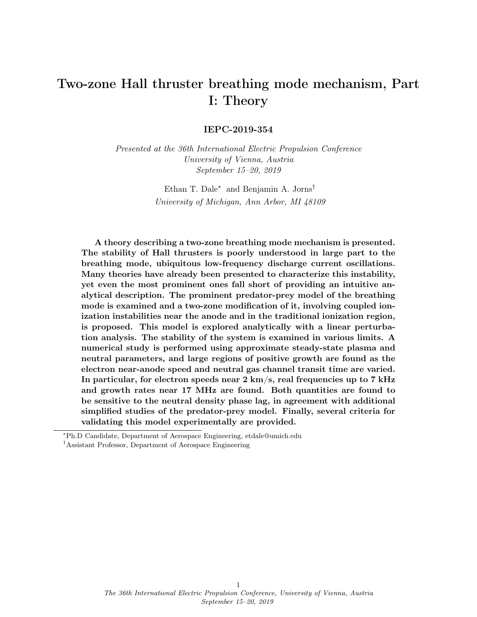# Two-zone Hall thruster breathing mode mechanism, Part I: Theory

IEPC-2019-354

Presented at the 36th International Electric Propulsion Conference University of Vienna, Austria September 15–20, 2019

> Ethan T. Dale<sup>∗</sup> and Benjamin A. Jorns† University of Michigan, Ann Arbor, MI 48109

A theory describing a two-zone breathing mode mechanism is presented. The stability of Hall thrusters is poorly understood in large part to the breathing mode, ubiquitous low-frequency discharge current oscillations. Many theories have already been presented to characterize this instability, yet even the most prominent ones fall short of providing an intuitive analytical description. The prominent predator-prey model of the breathing mode is examined and a two-zone modification of it, involving coupled ionization instabilities near the anode and in the traditional ionization region, is proposed. This model is explored analytically with a linear perturbation analysis. The stability of the system is examined in various limits. A numerical study is performed using approximate steady-state plasma and neutral parameters, and large regions of positive growth are found as the electron near-anode speed and neutral gas channel transit time are varied. In particular, for electron speeds near 2 km/s, real frequencies up to 7 kHz and growth rates near 17 MHz are found. Both quantities are found to be sensitive to the neutral density phase lag, in agreement with additional simplified studies of the predator-prey model. Finally, several criteria for validating this model experimentally are provided.

<sup>∗</sup>Ph.D Candidate, Department of Aerospace Engineering, etdale@umich.edu †Assistant Professor, Department of Aerospace Engineering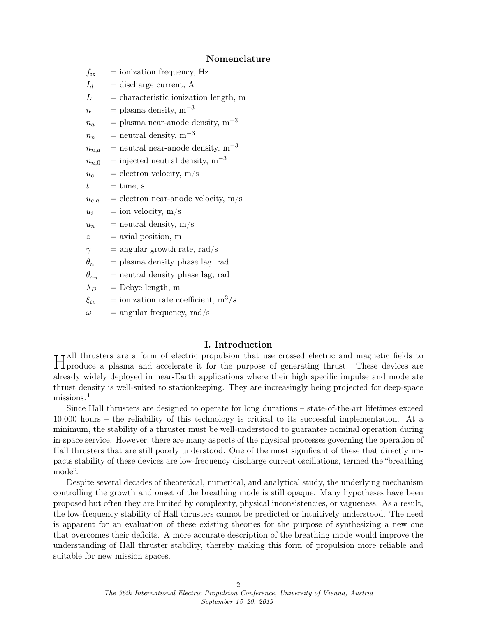## Nomenclature

| $f_{iz}$       | $=$ ionization frequency, Hz             |
|----------------|------------------------------------------|
| $I_d$          | $=$ discharge current, A                 |
| L              | $=$ characteristic ionization length, m  |
| $\, n$         | $=$ plasma density, m <sup>-3</sup>      |
| $n_a$          | = plasma near-anode density, $m^{-3}$    |
| $n_n$          | $=$ neutral density, m <sup>-3</sup>     |
| $n_{n,a}$      | $=$ neutral near-anode density, $m^{-3}$ |
| $n_{n,0}$      | $=$ injected neutral density, $m^{-3}$   |
| $u_{e}$        | $=$ electron velocity, m/s               |
| $t\,$          | $=$ time, s                              |
| $u_{e,a}$      | $=$ electron near-anode velocity, $m/s$  |
| $u_i$          | $=$ ion velocity, m/s                    |
| $u_n$          | $=$ neutral density, m/s                 |
| $\tilde{z}$    | $=$ axial position, m                    |
| $\gamma$       | $=$ angular growth rate, rad/s           |
| $\theta_n$     | $=$ plasma density phase lag, rad        |
| $\theta_{n_n}$ | $=$ neutral density phase lag, rad       |
| $\lambda_D$    | $=$ Debye length, m                      |
| $\xi_{iz}$     | = ionization rate coefficient, $m^3/s$   |
|                |                                          |

 $\omega$  = angular frequency, rad/s

## I. Introduction

H<sup>All thrusters</sup> are a form of electric propulsion that use crossed electric and magnetic fields to hypoduce a plasma and accelerate it for the purpose of generating thrust. These devices are produce a plasma and accelerate it for the purpose of generating thrust. These devices are already widely deployed in near-Earth applications where their high specific impulse and moderate thrust density is well-suited to stationkeeping. They are increasingly being projected for deep-space missions.<sup>[1](#page-11-0)</sup>

Since Hall thrusters are designed to operate for long durations – state-of-the-art lifetimes exceed 10,000 hours – the reliability of this technology is critical to its successful implementation. At a minimum, the stability of a thruster must be well-understood to guarantee nominal operation during in-space service. However, there are many aspects of the physical processes governing the operation of Hall thrusters that are still poorly understood. One of the most significant of these that directly impacts stability of these devices are low-frequency discharge current oscillations, termed the "breathing mode".

Despite several decades of theoretical, numerical, and analytical study, the underlying mechanism controlling the growth and onset of the breathing mode is still opaque. Many hypotheses have been proposed but often they are limited by complexity, physical inconsistencies, or vagueness. As a result, the low-frequency stability of Hall thrusters cannot be predicted or intuitively understood. The need is apparent for an evaluation of these existing theories for the purpose of synthesizing a new one that overcomes their deficits. A more accurate description of the breathing mode would improve the understanding of Hall thruster stability, thereby making this form of propulsion more reliable and suitable for new mission spaces.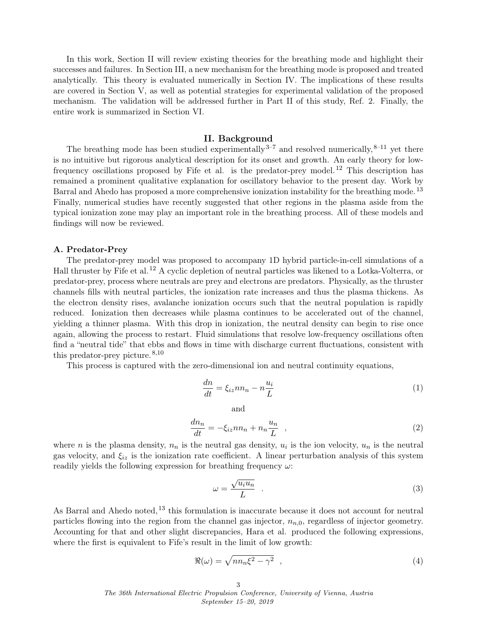In this work, Section [II](#page-2-0) will review existing theories for the breathing mode and highlight their successes and failures. In Section [III,](#page-4-0) a new mechanism for the breathing mode is proposed and treated analytically. This theory is evaluated numerically in Section [IV.](#page-9-0) The implications of these results are covered in Section [V,](#page-10-0) as well as potential strategies for experimental validation of the proposed mechanism. The validation will be addressed further in Part II of this study, Ref. [2.](#page-11-1) Finally, the entire work is summarized in Section [VI.](#page-11-2)

#### II. Background

<span id="page-2-0"></span>The breathing mode has been studied experimentally  $3-7$  $3-7$  and resolved numerically,  $8-11$  $8-11$  yet there is no intuitive but rigorous analytical description for its onset and growth. An early theory for lowfrequency oscillations proposed by Fife et al. is the predator-prey model. [12](#page-12-3) This description has remained a prominent qualitative explanation for oscillatory behavior to the present day. Work by Barral and Ahedo has proposed a more comprehensive ionization instability for the breathing mode. [13](#page-12-4) Finally, numerical studies have recently suggested that other regions in the plasma aside from the typical ionization zone may play an important role in the breathing process. All of these models and findings will now be reviewed.

#### <span id="page-2-2"></span>A. Predator-Prey

The predator-prey model was proposed to accompany 1D hybrid particle-in-cell simulations of a Hall thruster by Fife et al. [12](#page-12-3) A cyclic depletion of neutral particles was likened to a Lotka-Volterra, or predator-prey, process where neutrals are prey and electrons are predators. Physically, as the thruster channels fills with neutral particles, the ionization rate increases and thus the plasma thickens. As the electron density rises, avalanche ionization occurs such that the neutral population is rapidly reduced. Ionization then decreases while plasma continues to be accelerated out of the channel, yielding a thinner plasma. With this drop in ionization, the neutral density can begin to rise once again, allowing the process to restart. Fluid simulations that resolve low-frequency oscillations often find a "neutral tide" that ebbs and flows in time with discharge current fluctuations, consistent with this predator-prey picture.  $8,10$  $8,10$ 

This process is captured with the zero-dimensional ion and neutral continuity equations,

<span id="page-2-3"></span>
$$
\frac{dn}{dt} = \xi_{iz} n n_n - n \frac{u_i}{L} \tag{1}
$$

and

<span id="page-2-4"></span>
$$
\frac{dn_n}{dt} = -\xi_{iz}nn_n + n_n \frac{u_n}{L} \quad , \tag{2}
$$

where *n* is the plasma density,  $n_n$  is the neutral gas density,  $u_i$  is the ion velocity,  $u_n$  is the neutral gas velocity, and  $\xi_{iz}$  is the ionization rate coefficient. A linear perturbation analysis of this system readily yields the following expression for breathing frequency  $\omega$ :

<span id="page-2-1"></span>
$$
\omega = \frac{\sqrt{u_i u_n}}{L} \quad . \tag{3}
$$

As Barral and Ahedo noted, <sup>[13](#page-12-4)</sup> this formulation is inaccurate because it does not account for neutral particles flowing into the region from the channel gas injector,  $n_{n,0}$ , regardless of injector geometry. Accounting for that and other slight discrepancies, Hara et al. produced the following expressions, where the first is equivalent to Fife's result in the limit of low growth:

$$
\Re(\omega) = \sqrt{nn_n\xi^2 - \gamma^2} \quad , \tag{4}
$$

3 The 36th International Electric Propulsion Conference, University of Vienna, Austria September 15–20, 2019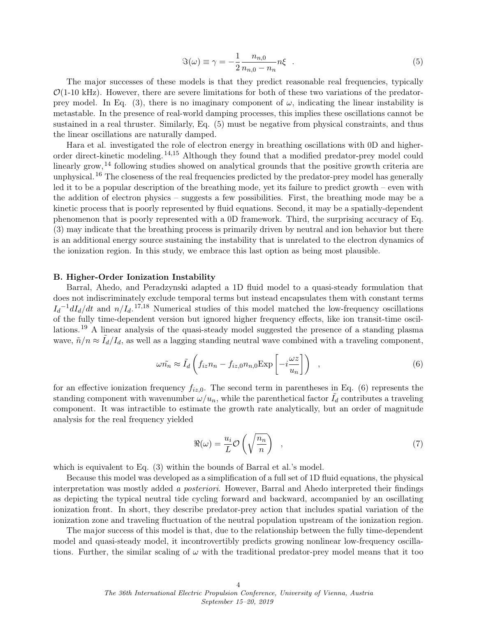<span id="page-3-0"></span>
$$
\Im(\omega) \equiv \gamma = -\frac{1}{2} \frac{n_{n,0}}{n_{n,0} - n_n} n\xi \quad . \tag{5}
$$

The major successes of these models is that they predict reasonable real frequencies, typically  $\mathcal{O}(1\textrm{-}10 \textrm{ kHz})$ . However, there are severe limitations for both of these two variations of the predator-prey model. In Eq. [\(3\)](#page-2-1), there is no imaginary component of  $\omega$ , indicating the linear instability is metastable. In the presence of real-world damping processes, this implies these oscillations cannot be sustained in a real thruster. Similarly, Eq. [\(5\)](#page-3-0) must be negative from physical constraints, and thus the linear oscillations are naturally damped.

Hara et al. investigated the role of electron energy in breathing oscillations with 0D and higherorder direct-kinetic modeling. [14,](#page-12-6)[15](#page-12-7) Although they found that a modified predator-prey model could linearly grow,<sup>[14](#page-12-6)</sup> following studies showed on analytical grounds that the positive growth criteria are unphysical.<sup>[16](#page-12-8)</sup> The closeness of the real frequencies predicted by the predator-prey model has generally led it to be a popular description of the breathing mode, yet its failure to predict growth – even with the addition of electron physics – suggests a few possibilities. First, the breathing mode may be a kinetic process that is poorly represented by fluid equations. Second, it may be a spatially-dependent phenomenon that is poorly represented with a 0D framework. Third, the surprising accuracy of Eq. [\(3\)](#page-2-1) may indicate that the breathing process is primarily driven by neutral and ion behavior but there is an additional energy source sustaining the instability that is unrelated to the electron dynamics of the ionization region. In this study, we embrace this last option as being most plausible.

#### <span id="page-3-2"></span>B. Higher-Order Ionization Instability

Barral, Ahedo, and Peradzynski adapted a 1D fluid model to a quasi-steady formulation that does not indiscriminately exclude temporal terms but instead encapsulates them with constant terms  $I_d^{-1}dI_d/dt$  and  $n/I_d$ .<sup>[17](#page-12-9)[,18](#page-12-10)</sup> Numerical studies of this model matched the low-frequency oscillations of the fully time-dependent version but ignored higher frequency effects, like ion transit-time oscillations.[19](#page-12-11) A linear analysis of the quasi-steady model suggested the presence of a standing plasma wave,  $\tilde{n}/n \approx \tilde{I}_d/I_d$ , as well as a lagging standing neutral wave combined with a traveling component,

<span id="page-3-1"></span>
$$
\omega \tilde{n_n} \approx \tilde{I}_d \left( f_{iz} n_n - f_{iz,0} n_{n,0} \exp\left[ -i \frac{\omega z}{u_n} \right] \right) \quad , \tag{6}
$$

for an effective ionization frequency  $f_{iz,0}$ . The second term in parentheses in Eq. [\(6\)](#page-3-1) represents the standing component with wavenumber  $\omega/u_n$ , while the parenthetical factor  $\tilde{I}_d$  contributes a traveling component. It was intractible to estimate the growth rate analytically, but an order of magnitude analysis for the real frequency yielded

$$
\Re(\omega) = \frac{u_i}{L} \mathcal{O}\left(\sqrt{\frac{n_n}{n}}\right) \quad , \tag{7}
$$

which is equivalent to Eq.  $(3)$  within the bounds of Barral et al.'s model.

Because this model was developed as a simplification of a full set of 1D fluid equations, the physical interpretation was mostly added a posteriori. However, Barral and Ahedo interpreted their findings as depicting the typical neutral tide cycling forward and backward, accompanied by an oscillating ionization front. In short, they describe predator-prey action that includes spatial variation of the ionization zone and traveling fluctuation of the neutral population upstream of the ionization region.

The major success of this model is that, due to the relationship between the fully time-dependent model and quasi-steady model, it incontrovertibly predicts growing nonlinear low-frequency oscillations. Further, the similar scaling of  $\omega$  with the traditional predator-prey model means that it too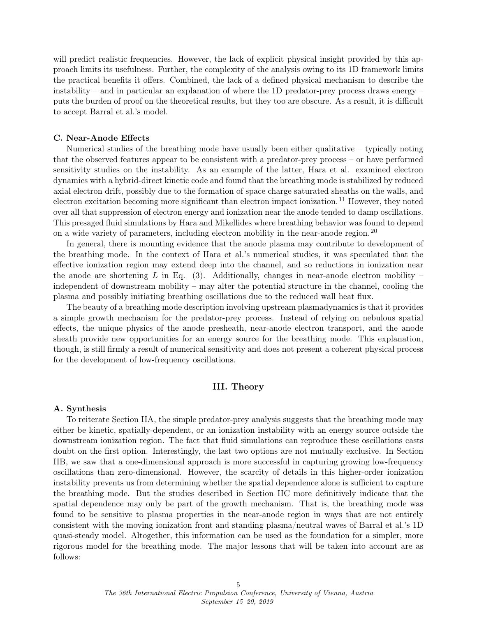will predict realistic frequencies. However, the lack of explicit physical insight provided by this approach limits its usefulness. Further, the complexity of the analysis owing to its 1D framework limits the practical benefits it offers. Combined, the lack of a defined physical mechanism to describe the instability – and in particular an explanation of where the 1D predator-prey process draws energy – puts the burden of proof on the theoretical results, but they too are obscure. As a result, it is difficult to accept Barral et al.'s model.

## <span id="page-4-1"></span>C. Near-Anode Effects

Numerical studies of the breathing mode have usually been either qualitative – typically noting that the observed features appear to be consistent with a predator-prey process – or have performed sensitivity studies on the instability. As an example of the latter, Hara et al. examined electron dynamics with a hybrid-direct kinetic code and found that the breathing mode is stabilized by reduced axial electron drift, possibly due to the formation of space charge saturated sheaths on the walls, and electron excitation becoming more significant than electron impact ionization.<sup>[11](#page-12-2)</sup> However, they noted over all that suppression of electron energy and ionization near the anode tended to damp oscillations. This presaged fluid simulations by Hara and Mikellides where breathing behavior was found to depend on a wide variety of parameters, including electron mobility in the near-anode region.  $^{20}$  $^{20}$  $^{20}$ 

In general, there is mounting evidence that the anode plasma may contribute to development of the breathing mode. In the context of Hara et al.'s numerical studies, it was speculated that the effective ionization region may extend deep into the channel, and so reductions in ionization near the anode are shortening L in Eq. [\(3\)](#page-2-1). Additionally, changes in near-anode electron mobility – independent of downstream mobility – may alter the potential structure in the channel, cooling the plasma and possibly initiating breathing oscillations due to the reduced wall heat flux.

The beauty of a breathing mode description involving upstream plasmadynamics is that it provides a simple growth mechanism for the predator-prey process. Instead of relying on nebulous spatial effects, the unique physics of the anode presheath, near-anode electron transport, and the anode sheath provide new opportunities for an energy source for the breathing mode. This explanation, though, is still firmly a result of numerical sensitivity and does not present a coherent physical process for the development of low-frequency oscillations.

## III. Theory

#### <span id="page-4-2"></span><span id="page-4-0"></span>A. Synthesis

To reiterate Section [II](#page-2-0)[A,](#page-2-2) the simple predator-prey analysis suggests that the breathing mode may either be kinetic, spatially-dependent, or an ionization instability with an energy source outside the downstream ionization region. The fact that fluid simulations can reproduce these oscillations casts doubt on the first option. Interestingly, the last two options are not mutually exclusive. In Section [II](#page-2-0)[B,](#page-3-2) we saw that a one-dimensional approach is more successful in capturing growing low-frequency oscillations than zero-dimensional. However, the scarcity of details in this higher-order ionization instability prevents us from determining whether the spatial dependence alone is sufficient to capture the breathing mode. But the studies described in Section [II](#page-2-0)[C](#page-4-1) more definitively indicate that the spatial dependence may only be part of the growth mechanism. That is, the breathing mode was found to be sensitive to plasma properties in the near-anode region in ways that are not entirely consistent with the moving ionization front and standing plasma/neutral waves of Barral et al.'s 1D quasi-steady model. Altogether, this information can be used as the foundation for a simpler, more rigorous model for the breathing mode. The major lessons that will be taken into account are as follows: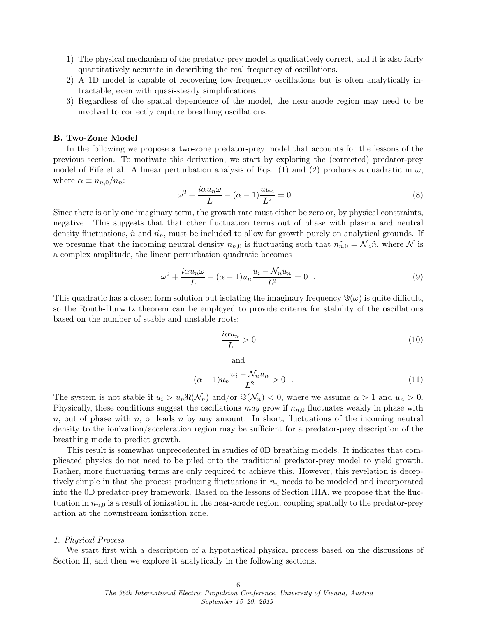- 1) The physical mechanism of the predator-prey model is qualitatively correct, and it is also fairly quantitatively accurate in describing the real frequency of oscillations.
- 2) A 1D model is capable of recovering low-frequency oscillations but is often analytically intractable, even with quasi-steady simplifications.
- 3) Regardless of the spatial dependence of the model, the near-anode region may need to be involved to correctly capture breathing oscillations.

## <span id="page-5-1"></span>B. Two-Zone Model

In the following we propose a two-zone predator-prey model that accounts for the lessons of the previous section. To motivate this derivation, we start by exploring the (corrected) predator-prey model of Fife et al. A linear perturbation analysis of Eqs. [\(1\)](#page-2-3) and [\(2\)](#page-2-4) produces a quadratic in  $\omega$ , where  $\alpha \equiv n_{n,0}/n_n$ :

$$
\omega^2 + \frac{i\alpha u_n \omega}{L} - (\alpha - 1)\frac{u u_n}{L^2} = 0 \quad .
$$
 (8)

Since there is only one imaginary term, the growth rate must either be zero or, by physical constraints, negative. This suggests that that other fluctuation terms out of phase with plasma and neutral density fluctuations,  $\tilde{n}$  and  $\tilde{n}_n$ , must be included to allow for growth purely on analytical grounds. If we presume that the incoming neutral density  $n_{n,0}$  is fluctuating such that  $n_{n,0} = \mathcal{N}_n \tilde{n}$ , where  $\mathcal N$  is a complex amplitude, the linear perturbation quadratic becomes

<span id="page-5-0"></span>
$$
\omega^2 + \frac{i\alpha u_n \omega}{L} - (\alpha - 1)u_n \frac{u_i - \mathcal{N}_n u_n}{L^2} = 0 \quad . \tag{9}
$$

This quadratic has a closed form solution but isolating the imaginary frequency  $\Im(\omega)$  is quite difficult, so the Routh-Hurwitz theorem can be employed to provide criteria for stability of the oscillations based on the number of stable and unstable roots:

$$
\frac{i\alpha u_n}{L} > 0\tag{10}
$$

and

$$
-(\alpha - 1)u_n \frac{u_i - \mathcal{N}_n u_n}{L^2} > 0 \quad . \tag{11}
$$

The system is not stable if  $u_i > u_n \Re(\mathcal{N}_n)$  and/or  $\Im(\mathcal{N}_n) < 0$ , where we assume  $\alpha > 1$  and  $u_n > 0$ . Physically, these conditions suggest the oscillations may grow if  $n_{n,0}$  fluctuates weakly in phase with n, out of phase with n, or leads n by any amount. In short, fluctuations of the incoming neutral density to the ionization/acceleration region may be sufficient for a predator-prey description of the breathing mode to predict growth.

This result is somewhat unprecedented in studies of 0D breathing models. It indicates that complicated physics do not need to be piled onto the traditional predator-prey model to yield growth. Rather, more fluctuating terms are only required to achieve this. However, this revelation is deceptively simple in that the process producing fluctuations in  $n_n$  needs to be modeled and incorporated into the 0D predator-prey framework. Based on the lessons of Section [III](#page-4-0)[A,](#page-4-2) we propose that the fluctuation in  $n_{n,0}$  is a result of ionization in the near-anode region, coupling spatially to the predator-prey action at the downstream ionization zone.

#### 1. Physical Process

We start first with a description of a hypothetical physical process based on the discussions of Section [II,](#page-2-0) and then we explore it analytically in the following sections.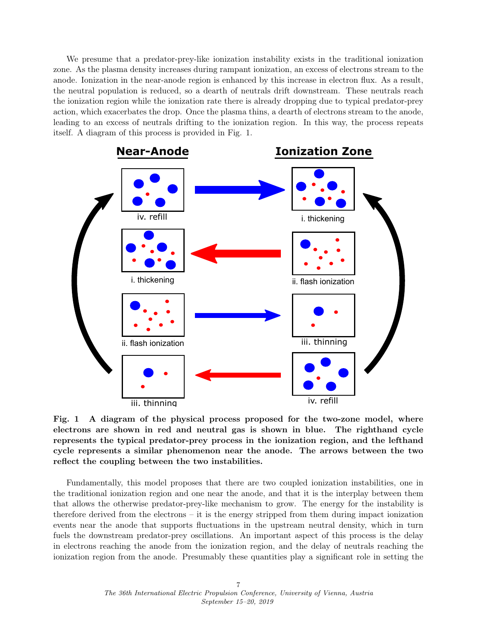We presume that a predator-prey-like ionization instability exists in the traditional ionization zone. As the plasma density increases during rampant ionization, an excess of electrons stream to the anode. Ionization in the near-anode region is enhanced by this increase in electron flux. As a result, the neutral population is reduced, so a dearth of neutrals drift downstream. These neutrals reach the ionization region while the ionization rate there is already dropping due to typical predator-prey action, which exacerbates the drop. Once the plasma thins, a dearth of electrons stream to the anode, leading to an excess of neutrals drifting to the ionization region. In this way, the process repeats itself. A diagram of this process is provided in Fig. [1.](#page-6-0)

<span id="page-6-0"></span>

Fig. 1 A diagram of the physical process proposed for the two-zone model, where electrons are shown in red and neutral gas is shown in blue. The righthand cycle represents the typical predator-prey process in the ionization region, and the lefthand cycle represents a similar phenomenon near the anode. The arrows between the two reflect the coupling between the two instabilities.

Fundamentally, this model proposes that there are two coupled ionization instabilities, one in the traditional ionization region and one near the anode, and that it is the interplay between them that allows the otherwise predator-prey-like mechanism to grow. The energy for the instability is therefore derived from the electrons – it is the energy stripped from them during impact ionization events near the anode that supports fluctuations in the upstream neutral density, which in turn fuels the downstream predator-prey oscillations. An important aspect of this process is the delay in electrons reaching the anode from the ionization region, and the delay of neutrals reaching the ionization region from the anode. Presumably these quantities play a significant role in setting the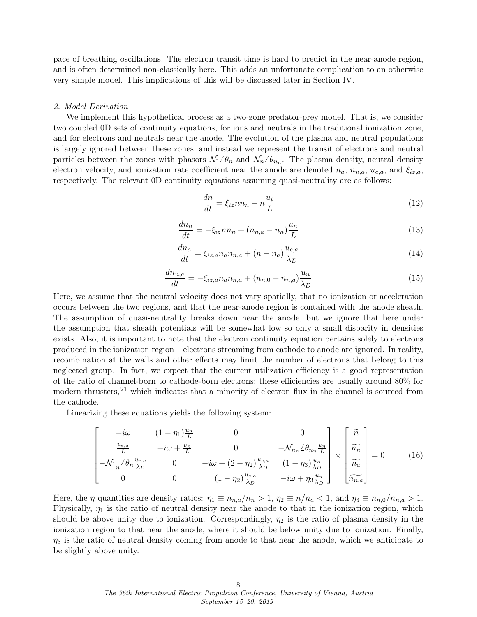pace of breathing oscillations. The electron transit time is hard to predict in the near-anode region, and is often determined non-classically here. This adds an unfortunate complication to an otherwise very simple model. This implications of this will be discussed later in Section [IV.](#page-9-0)

#### 2. Model Derivation

We implement this hypothetical process as a two-zone predator-prey model. That is, we consider two coupled 0D sets of continuity equations, for ions and neutrals in the traditional ionization zone, and for electrons and neutrals near the anode. The evolution of the plasma and neutral populations is largely ignored between these zones, and instead we represent the transit of electrons and neutral particles between the zones with phasors  $\mathcal{N}_1 \angle \theta_n$  and  $\mathcal{N}_n \angle \theta_{n_n}$ . The plasma density, neutral density electron velocity, and ionization rate coefficient near the anode are denoted  $n_a$ ,  $n_{n,a}$ ,  $u_{e,a}$ , and  $\xi_{iz,a}$ , respectively. The relevant 0D continuity equations assuming quasi-neutrality are as follows:

<span id="page-7-0"></span>
$$
\frac{dn}{dt} = \xi_{iz} n n_n - n \frac{u_i}{L} \tag{12}
$$

$$
\frac{dn_n}{dt} = -\xi_{iz}nn_n + (n_{n,a} - n_n)\frac{u_n}{L}
$$
\n(13)

$$
\frac{dn_a}{dt} = \xi_{iz,a} n_a n_{n,a} + (n - n_a) \frac{u_{e,a}}{\lambda_D} \tag{14}
$$

<span id="page-7-1"></span>
$$
\frac{dn_{n,a}}{dt} = -\xi_{iz,a} n_a n_{n,a} + (n_{n,0} - n_{n,a}) \frac{u_n}{\lambda_D}
$$
\n(15)

Here, we assume that the neutral velocity does not vary spatially, that no ionization or acceleration occurs between the two regions, and that the near-anode region is contained with the anode sheath. The assumption of quasi-neutrality breaks down near the anode, but we ignore that here under the assumption that sheath potentials will be somewhat low so only a small disparity in densities exists. Also, it is important to note that the electron continuity equation pertains solely to electrons produced in the ionization region – electrons streaming from cathode to anode are ignored. In reality, recombination at the walls and other effects may limit the number of electrons that belong to this neglected group. In fact, we expect that the current utilization efficiency is a good representation of the ratio of channel-born to cathode-born electrons; these efficiencies are usually around 80% for modern thrusters, [21](#page-12-13) which indicates that a minority of electron flux in the channel is sourced from the cathode.

Linearizing these equations yields the following system:

$$
\begin{bmatrix}\n-i\omega & (1-\eta_1)\frac{u_n}{L} & 0 & 0 \\
\frac{u_{e,a}}{L} & -i\omega + \frac{u_n}{L} & 0 & -\mathcal{N}_{n_n} \mathcal{L}\theta_{n_n} \frac{u_n}{L} \\
-\mathcal{N}_{n_n} \mathcal{L}\theta_n \frac{u_{e,a}}{\lambda_D} & 0 & -i\omega + (2-\eta_2)\frac{u_{e,a}}{\lambda_D} & (1-\eta_3)\frac{u_n}{\lambda_D} \\
0 & 0 & (1-\eta_2)\frac{u_{e,a}}{\lambda_D} & -i\omega + \eta_3 \frac{u_n}{\lambda_D}\n\end{bmatrix}\n\times\n\begin{bmatrix}\n\widetilde{n} \\
\widetilde{n_n} \\
\widetilde{n_{a}} \\
\widetilde{n_{n,a}}\n\end{bmatrix} = 0
$$
\n(16)

Here, the  $\eta$  quantities are density ratios:  $\eta_1 \equiv n_{n,a}/n_n > 1$ ,  $\eta_2 \equiv n/n_a < 1$ , and  $\eta_3 \equiv n_{n,0}/n_{n,a} > 1$ . Physically,  $\eta_1$  is the ratio of neutral density near the anode to that in the ionization region, which should be above unity due to ionization. Correspondingly,  $\eta_2$  is the ratio of plasma density in the ionization region to that near the anode, where it should be below unity due to ionization. Finally,  $\eta_3$  is the ratio of neutral density coming from anode to that near the anode, which we anticipate to be slightly above unity.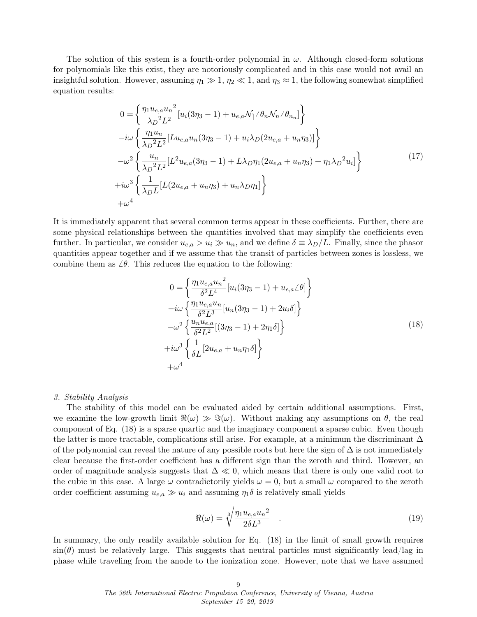The solution of this system is a fourth-order polynomial in  $\omega$ . Although closed-form solutions for polynomials like this exist, they are notoriously complicated and in this case would not avail an insightful solution. However, assuming  $\eta_1 \gg 1$ ,  $\eta_2 \ll 1$ , and  $\eta_3 \approx 1$ , the following somewhat simplified equation results:

$$
0 = \left\{ \frac{\eta_1 u_{e,a} u_n^2}{\lambda_D^2 L^2} [u_i(3\eta_3 - 1) + u_{e,a} \mathcal{N}_1 \angle \theta_n \mathcal{N}_n \angle \theta_{n_n}] \right\}
$$
  
\n
$$
-i\omega \left\{ \frac{\eta_1 u_n}{\lambda_D^2 L^2} [L u_{e,a} u_n(3\eta_3 - 1) + u_i \lambda_D (2u_{e,a} + u_n \eta_3)] \right\}
$$
  
\n
$$
- \omega^2 \left\{ \frac{u_n}{\lambda_D^2 L^2} [L^2 u_{e,a} (3\eta_3 - 1) + L \lambda_D \eta_1 (2u_{e,a} + u_n \eta_3) + \eta_1 \lambda_D^2 u_i] \right\}
$$
  
\n
$$
+i\omega^3 \left\{ \frac{1}{\lambda_D L} [L (2u_{e,a} + u_n \eta_3) + u_n \lambda_D \eta_1] \right\}
$$
  
\n
$$
+ \omega^4
$$
 (17)

It is immediately apparent that several common terms appear in these coefficients. Further, there are some physical relationships between the quantities involved that may simplify the coefficients even further. In particular, we consider  $u_{e,a} > u_i \gg u_n$ , and we define  $\delta \equiv \lambda_D/L$ . Finally, since the phasor quantities appear together and if we assume that the transit of particles between zones is lossless, we combine them as  $\angle \theta$ . This reduces the equation to the following:

$$
0 = \left\{ \frac{\eta_1 u_{e,a} u_n^2}{\delta^2 L^4} [u_i(3\eta_3 - 1) + u_{e,a} \angle \theta] \right\}
$$
  
\n
$$
-i\omega \left\{ \frac{\eta_1 u_{e,a} u_n}{\delta^2 L^3} [u_n(3\eta_3 - 1) + 2u_i \delta] \right\}
$$
  
\n
$$
-\omega^2 \left\{ \frac{u_n u_{e,a}}{\delta^2 L^2} [(3\eta_3 - 1) + 2\eta_1 \delta] \right\}
$$
  
\n
$$
+i\omega^3 \left\{ \frac{1}{\delta L} [2u_{e,a} + u_n \eta_1 \delta] \right\}
$$
  
\n
$$
+\omega^4
$$
 (18)

## <span id="page-8-1"></span><span id="page-8-0"></span>3. Stability Analysis

The stability of this model can be evaluated aided by certain additional assumptions. First, we examine the low-growth limit  $\Re(\omega) \gg \Im(\omega)$ . Without making any assumptions on  $\theta$ , the real component of Eq. [\(18\)](#page-8-0) is a sparse quartic and the imaginary component a sparse cubic. Even though the latter is more tractable, complications still arise. For example, at a minimum the discriminant  $\Delta$ of the polynomial can reveal the nature of any possible roots but here the sign of  $\Delta$  is not immediately clear because the first-order coefficient has a different sign than the zeroth and third. However, an order of magnitude analysis suggests that  $\Delta \ll 0$ , which means that there is only one valid root to the cubic in this case. A large  $\omega$  contradictorily yields  $\omega = 0$ , but a small  $\omega$  compared to the zeroth order coefficient assuming  $u_{e,a} \gg u_i$  and assuming  $\eta_1 \delta$  is relatively small yields

$$
\Re(\omega) = \sqrt[3]{\frac{\eta_1 u_{e,a} u_n^2}{2\delta L^3}} \quad . \tag{19}
$$

In summary, the only readily available solution for Eq. [\(18\)](#page-8-0) in the limit of small growth requires  $\sin(\theta)$  must be relatively large. This suggests that neutral particles must significantly lead/lag in phase while traveling from the anode to the ionization zone. However, note that we have assumed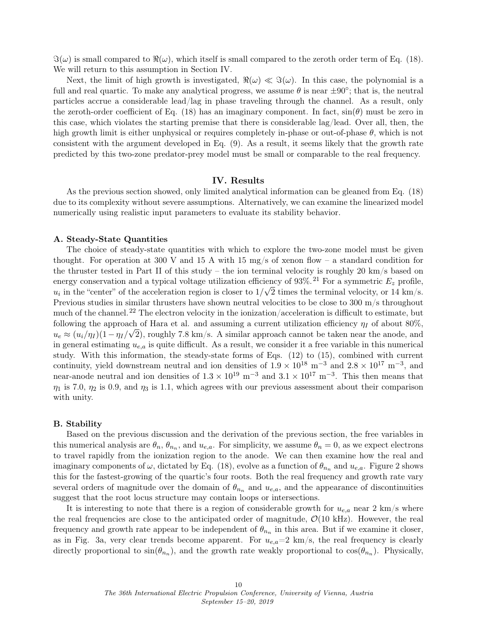$\Im(\omega)$  is small compared to  $\Re(\omega)$ , which itself is small compared to the zeroth order term of Eq. [\(18\)](#page-8-0). We will return to this assumption in Section [IV.](#page-9-0)

Next, the limit of high growth is investigated,  $\Re(\omega) \ll \Im(\omega)$ . In this case, the polynomial is a full and real quartic. To make any analytical progress, we assume  $\theta$  is near  $\pm 90^{\circ}$ ; that is, the neutral particles accrue a considerable lead/lag in phase traveling through the channel. As a result, only the zeroth-order coefficient of Eq. [\(18\)](#page-8-0) has an imaginary component. In fact,  $sin(\theta)$  must be zero in this case, which violates the starting premise that there is considerable lag/lead. Over all, then, the high growth limit is either unphysical or requires completely in-phase or out-of-phase  $\theta$ , which is not consistent with the argument developed in Eq. [\(9\)](#page-5-0). As a result, it seems likely that the growth rate predicted by this two-zone predator-prey model must be small or comparable to the real frequency.

## IV. Results

<span id="page-9-0"></span>As the previous section showed, only limited analytical information can be gleaned from Eq. [\(18\)](#page-8-0) due to its complexity without severe assumptions. Alternatively, we can examine the linearized model numerically using realistic input parameters to evaluate its stability behavior.

## A. Steady-State Quantities

The choice of steady-state quantities with which to explore the two-zone model must be given thought. For operation at 300 V and 15 A with 15 mg/s of xenon flow – a standard condition for the thruster tested in Part II of this study – the ion terminal velocity is roughly 20 km/s based on energy conservation and a typical voltage utilization efficiency of 93\%.<sup>[21](#page-12-13)</sup> For a symmetric  $E_z$  profile,  $u_i$  in the "center" of the acceleration region is closer to  $1/$ √ 2 times the terminal velocity, or 14 km/s. Previous studies in similar thrusters have shown neutral velocities to be close to  $300 \text{ m/s}$  throughout much of the channel.<sup>[22](#page-12-14)</sup> The electron velocity in the ionization/acceleration is difficult to estimate, but following the approach of Hara et al. and assuming a current utilization efficiency  $\eta_I$  of about 80%,  $u_e \approx (u_i/\eta_I)(1-\eta_I/\sqrt{2})$ , roughly 7.8 km/s. A similar approach cannot be taken near the anode, and in general estimating  $u_{e,a}$  is quite difficult. As a result, we consider it a free variable in this numerical study. With this information, the steady-state forms of Eqs. [\(12\)](#page-7-0) to [\(15\)](#page-7-1), combined with current continuity, yield downstream neutral and ion densities of  $1.9 \times 10^{18}$  m<sup>-3</sup> and  $2.8 \times 10^{17}$  m<sup>-3</sup>, and near-anode neutral and ion densities of  $1.3 \times 10^{19}$  m<sup>-3</sup> and  $3.1 \times 10^{17}$  m<sup>-3</sup>. This then means that  $\eta_1$  is 7.0,  $\eta_2$  is 0.9, and  $\eta_3$  is 1.1, which agrees with our previous assessment about their comparison with unity.

## B. Stability

Based on the previous discussion and the derivation of the previous section, the free variables in this numerical analysis are  $\theta_n$ ,  $\theta_{n_n}$ , and  $u_{e,a}$ . For simplicity, we assume  $\theta_n = 0$ , as we expect electrons to travel rapidly from the ionization region to the anode. We can then examine how the real and imaginary components of  $\omega$ , dictated by Eq. [\(18\)](#page-8-0), evolve as a function of  $\theta_{n_n}$  and  $u_{e,a}$ . Figure [2](#page-10-1) shows this for the fastest-growing of the quartic's four roots. Both the real frequency and growth rate vary several orders of magnitude over the domain of  $\theta_{n_n}$  and  $u_{e,a}$ , and the appearance of discontinuities suggest that the root locus structure may contain loops or intersections.

It is interesting to note that there is a region of considerable growth for  $u_{e,a}$  near 2 km/s where the real frequencies are close to the anticipated order of magnitude,  $\mathcal{O}(10 \text{ kHz})$ . However, the real frequency and growth rate appear to be independent of  $\theta_{n_n}$  in this area. But if we examine it closer, as in Fig. [3a,](#page-11-4) very clear trends become apparent. For  $u_{e,a}=2 \text{ km/s}$ , the real frequency is clearly directly proportional to  $sin(\theta_{n_n})$ , and the growth rate weakly proportional to  $cos(\theta_{n_n})$ . Physically,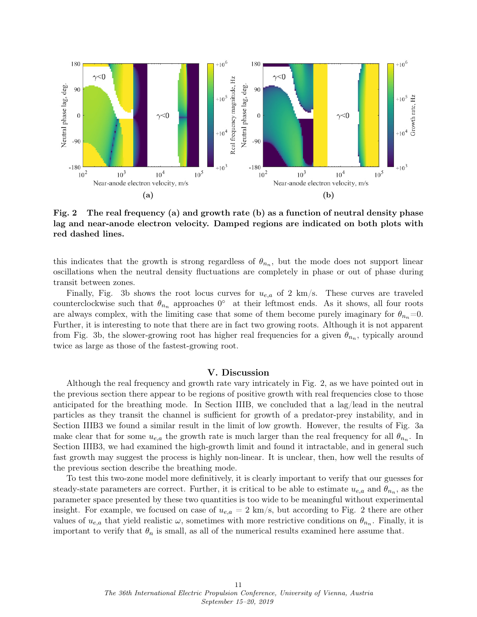<span id="page-10-1"></span>

Fig. 2 The real frequency (a) and growth rate (b) as a function of neutral density phase lag and near-anode electron velocity. Damped regions are indicated on both plots with red dashed lines.

this indicates that the growth is strong regardless of  $\theta_{n_n}$ , but the mode does not support linear oscillations when the neutral density fluctuations are completely in phase or out of phase during transit between zones.

Finally, Fig. [3b](#page-11-4) shows the root locus curves for  $u_{e,a}$  of 2 km/s. These curves are traveled counterclockwise such that  $\theta_{n_n}$  approaches  $0^{\circ}$  at their leftmost ends. As it shows, all four roots are always complex, with the limiting case that some of them become purely imaginary for  $\theta_{n_n}=0$ . Further, it is interesting to note that there are in fact two growing roots. Although it is not apparent from Fig. [3b,](#page-11-4) the slower-growing root has higher real frequencies for a given  $\theta_{n_n}$ , typically around twice as large as those of the fastest-growing root.

## V. Discussion

<span id="page-10-0"></span>Although the real frequency and growth rate vary intricately in Fig. [2,](#page-10-1) as we have pointed out in the previous section there appear to be regions of positive growth with real frequencies close to those anticipated for the breathing mode. In Section [III](#page-4-0)[B,](#page-5-1) we concluded that a lag/lead in the neutral particles as they transit the channel is sufficient for growth of a predator-prey instability, and in Section [III](#page-4-0)[B](#page-5-1)[3](#page-8-1) we found a similar result in the limit of low growth. However, the results of Fig. [3a](#page-11-4) make clear that for some  $u_{e,a}$  the growth rate is much larger than the real frequency for all  $\theta_{n_n}$ . In Section [III](#page-4-0)[B](#page-5-1)[3,](#page-8-1) we had examined the high-growth limit and found it intractable, and in general such fast growth may suggest the process is highly non-linear. It is unclear, then, how well the results of the previous section describe the breathing mode.

To test this two-zone model more definitively, it is clearly important to verify that our guesses for steady-state parameters are correct. Further, it is critical to be able to estimate  $u_{e,a}$  and  $\theta_{n_n}$ , as the parameter space presented by these two quantities is too wide to be meaningful without experimental insight. For example, we focused on case of  $u_{e,a} = 2 \text{ km/s}$  $u_{e,a} = 2 \text{ km/s}$  $u_{e,a} = 2 \text{ km/s}$ , but according to Fig. 2 there are other values of  $u_{e,a}$  that yield realistic  $\omega$ , sometimes with more restrictive conditions on  $\theta_{n_n}$ . Finally, it is important to verify that  $\theta_n$  is small, as all of the numerical results examined here assume that.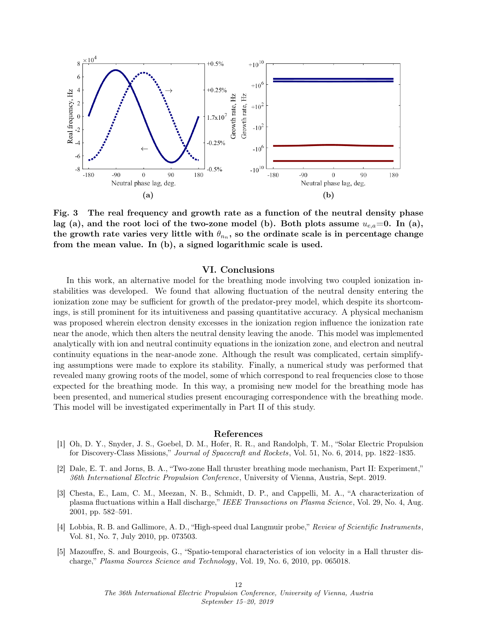<span id="page-11-4"></span>

Fig. 3 The real frequency and growth rate as a function of the neutral density phase lag (a), and the root loci of the two-zone model (b). Both plots assume  $u_{e,a}=0$ . In (a), the growth rate varies very little with  $\theta_{n_n},$  so the ordinate scale is in percentage change from the mean value. In (b), a signed logarithmic scale is used.

# VI. Conclusions

<span id="page-11-2"></span>In this work, an alternative model for the breathing mode involving two coupled ionization instabilities was developed. We found that allowing fluctuation of the neutral density entering the ionization zone may be sufficient for growth of the predator-prey model, which despite its shortcomings, is still prominent for its intuitiveness and passing quantitative accuracy. A physical mechanism was proposed wherein electron density excesses in the ionization region influence the ionization rate near the anode, which then alters the neutral density leaving the anode. This model was implemented analytically with ion and neutral continuity equations in the ionization zone, and electron and neutral continuity equations in the near-anode zone. Although the result was complicated, certain simplifying assumptions were made to explore its stability. Finally, a numerical study was performed that revealed many growing roots of the model, some of which correspond to real frequencies close to those expected for the breathing mode. In this way, a promising new model for the breathing mode has been presented, and numerical studies present encouraging correspondence with the breathing mode. This model will be investigated experimentally in Part II of this study.

## References

- <span id="page-11-0"></span>[1] Oh, D. Y., Snyder, J. S., Goebel, D. M., Hofer, R. R., and Randolph, T. M., "Solar Electric Propulsion for Discovery-Class Missions," Journal of Spacecraft and Rockets, Vol. 51, No. 6, 2014, pp. 1822–1835.
- <span id="page-11-1"></span>[2] Dale, E. T. and Jorns, B. A., "Two-zone Hall thruster breathing mode mechanism, Part II: Experiment," 36th International Electric Propulsion Conference, University of Vienna, Austria, Sept. 2019.
- <span id="page-11-3"></span>[3] Chesta, E., Lam, C. M., Meezan, N. B., Schmidt, D. P., and Cappelli, M. A., "A characterization of plasma fluctuations within a Hall discharge," IEEE Transactions on Plasma Science, Vol. 29, No. 4, Aug. 2001, pp. 582–591.
- [4] Lobbia, R. B. and Gallimore, A. D., "High-speed dual Langmuir probe," Review of Scientific Instruments, Vol. 81, No. 7, July 2010, pp. 073503.
- [5] Mazouffre, S. and Bourgeois, G., "Spatio-temporal characteristics of ion velocity in a Hall thruster discharge," Plasma Sources Science and Technology, Vol. 19, No. 6, 2010, pp. 065018.

The 36th International Electric Propulsion Conference, University of Vienna, Austria September 15–20, 2019

12